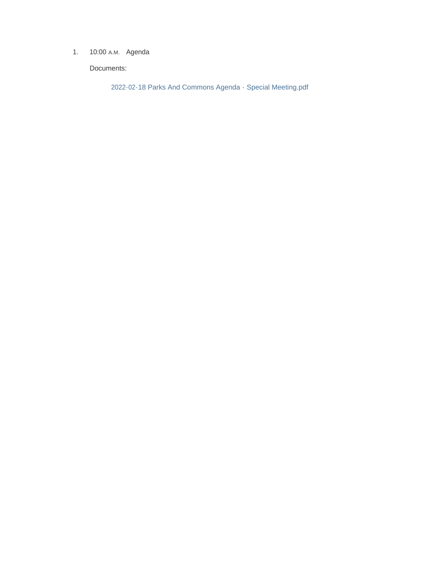1. 10:00 A.M. Agenda

Documents:

2022-02-18 Parks And Commons Agenda - Special Meeting.pdf